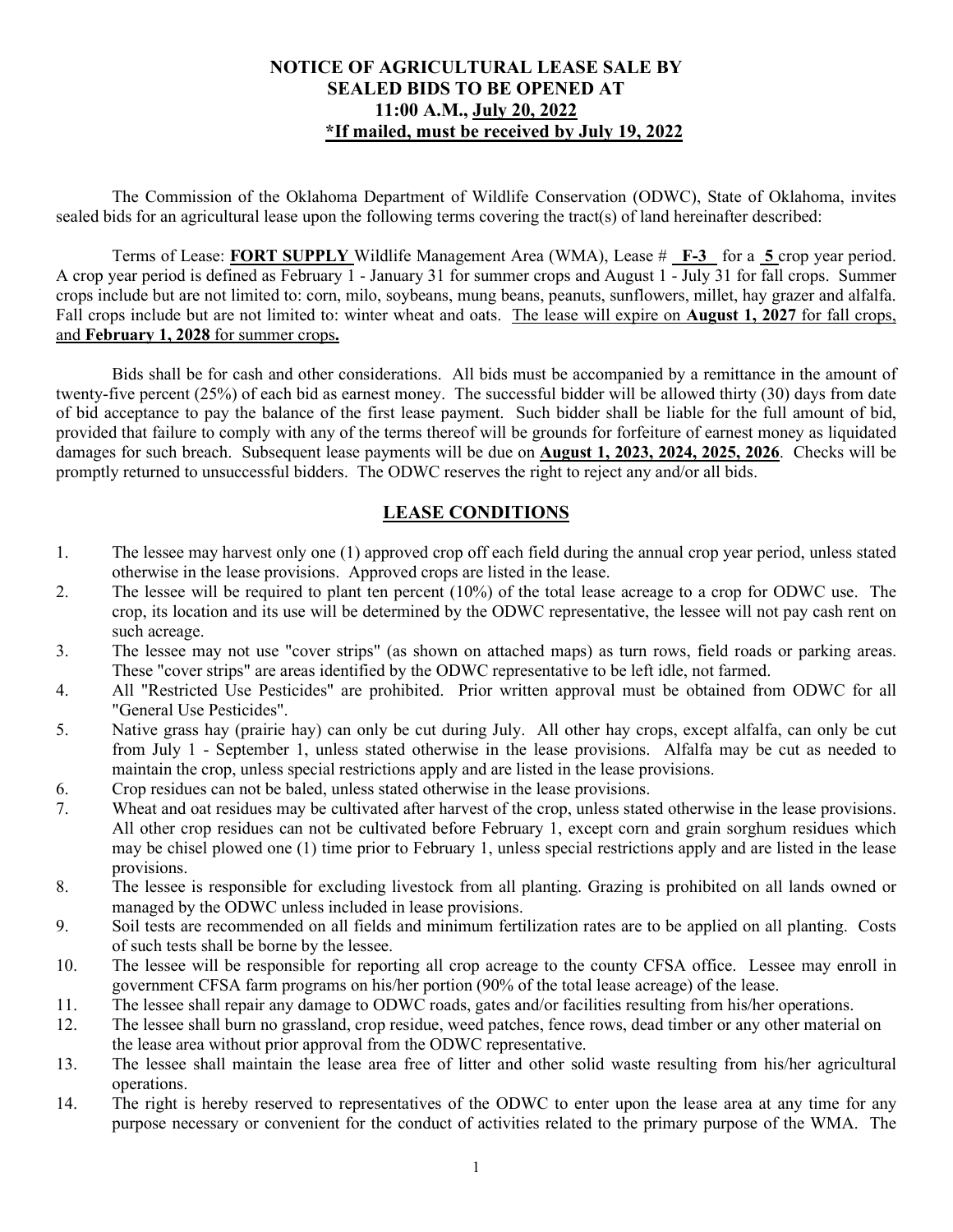### **NOTICE OF AGRICULTURAL LEASE SALE BY SEALED BIDS TO BE OPENED AT 11:00 A.M., July 20, 2022 \*If mailed, must be received by July 19, 2022**

The Commission of the Oklahoma Department of Wildlife Conservation (ODWC), State of Oklahoma, invites sealed bids for an agricultural lease upon the following terms covering the tract(s) of land hereinafter described:

Terms of Lease: **FORT SUPPLY** Wildlife Management Area (WMA), Lease # **F-3** for a **5** crop year period. A crop year period is defined as February 1 - January 31 for summer crops and August 1 - July 31 for fall crops. Summer crops include but are not limited to: corn, milo, soybeans, mung beans, peanuts, sunflowers, millet, hay grazer and alfalfa. Fall crops include but are not limited to: winter wheat and oats. The lease will expire on **August 1, 2027** for fall crops, and **February 1, 2028** for summer crops**.**

Bids shall be for cash and other considerations. All bids must be accompanied by a remittance in the amount of twenty-five percent (25%) of each bid as earnest money. The successful bidder will be allowed thirty (30) days from date of bid acceptance to pay the balance of the first lease payment. Such bidder shall be liable for the full amount of bid, provided that failure to comply with any of the terms thereof will be grounds for forfeiture of earnest money as liquidated damages for such breach. Subsequent lease payments will be due on **August 1, 2023, 2024, 2025, 2026**. Checks will be promptly returned to unsuccessful bidders. The ODWC reserves the right to reject any and/or all bids.

## **LEASE CONDITIONS**

- 1. The lessee may harvest only one (1) approved crop off each field during the annual crop year period, unless stated otherwise in the lease provisions. Approved crops are listed in the lease.
- 2. The lessee will be required to plant ten percent (10%) of the total lease acreage to a crop for ODWC use. The crop, its location and its use will be determined by the ODWC representative, the lessee will not pay cash rent on such acreage.
- 3. The lessee may not use "cover strips" (as shown on attached maps) as turn rows, field roads or parking areas. These "cover strips" are areas identified by the ODWC representative to be left idle, not farmed.
- 4. All "Restricted Use Pesticides" are prohibited. Prior written approval must be obtained from ODWC for all "General Use Pesticides".
- 5. Native grass hay (prairie hay) can only be cut during July. All other hay crops, except alfalfa, can only be cut from July 1 - September 1, unless stated otherwise in the lease provisions. Alfalfa may be cut as needed to maintain the crop, unless special restrictions apply and are listed in the lease provisions.
- 6. Crop residues can not be baled, unless stated otherwise in the lease provisions.
- 7. Wheat and oat residues may be cultivated after harvest of the crop, unless stated otherwise in the lease provisions. All other crop residues can not be cultivated before February 1, except corn and grain sorghum residues which may be chisel plowed one (1) time prior to February 1, unless special restrictions apply and are listed in the lease provisions.
- 8. The lessee is responsible for excluding livestock from all planting. Grazing is prohibited on all lands owned or managed by the ODWC unless included in lease provisions.
- 9. Soil tests are recommended on all fields and minimum fertilization rates are to be applied on all planting. Costs of such tests shall be borne by the lessee.
- 10. The lessee will be responsible for reporting all crop acreage to the county CFSA office. Lessee may enroll in government CFSA farm programs on his/her portion (90% of the total lease acreage) of the lease.
- 11. The lessee shall repair any damage to ODWC roads, gates and/or facilities resulting from his/her operations.
- 12. The lessee shall burn no grassland, crop residue, weed patches, fence rows, dead timber or any other material on the lease area without prior approval from the ODWC representative.
- 13. The lessee shall maintain the lease area free of litter and other solid waste resulting from his/her agricultural operations.
- 14. The right is hereby reserved to representatives of the ODWC to enter upon the lease area at any time for any purpose necessary or convenient for the conduct of activities related to the primary purpose of the WMA. The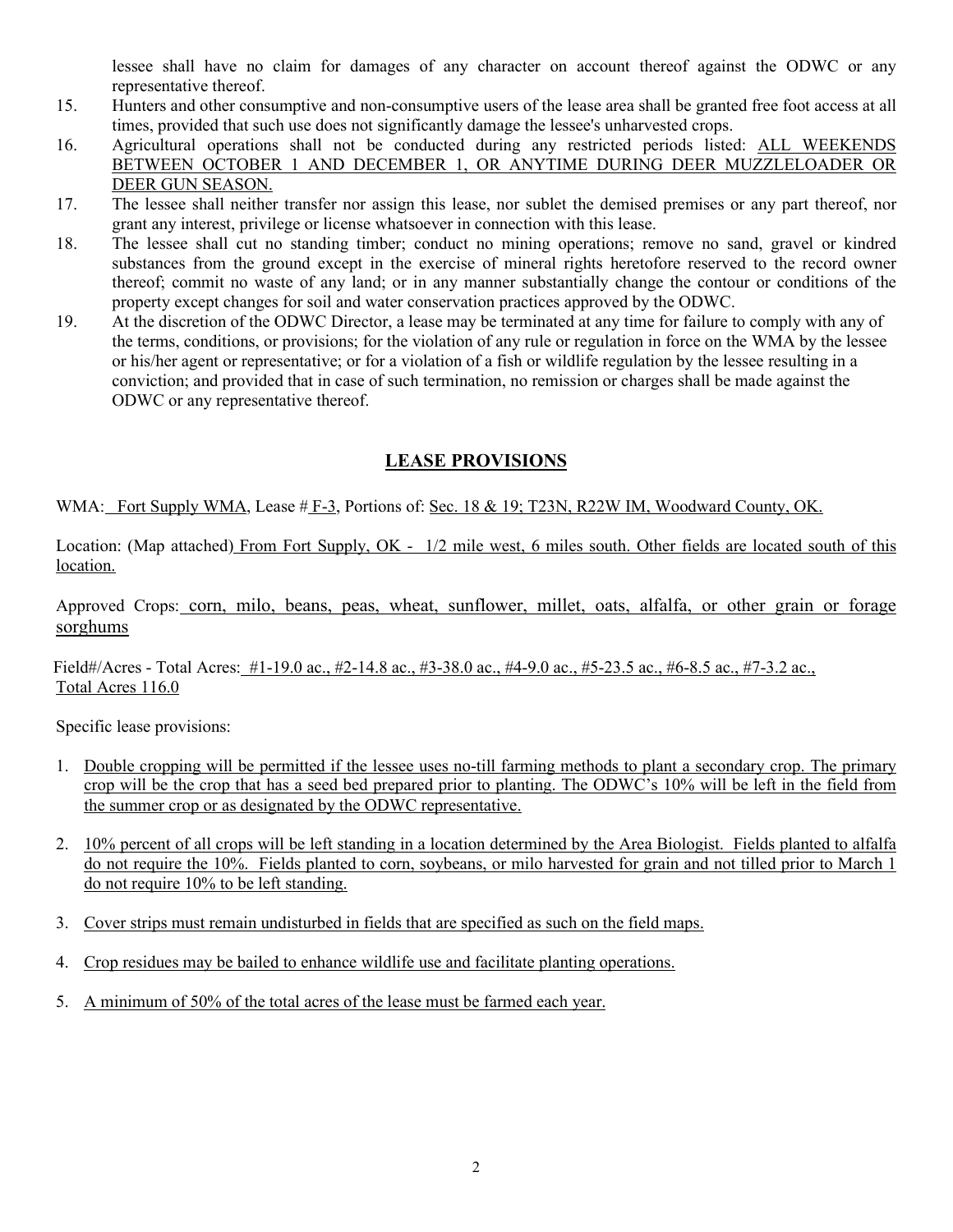lessee shall have no claim for damages of any character on account thereof against the ODWC or any representative thereof.

- 15. Hunters and other consumptive and non-consumptive users of the lease area shall be granted free foot access at all times, provided that such use does not significantly damage the lessee's unharvested crops.
- 16. Agricultural operations shall not be conducted during any restricted periods listed: ALL WEEKENDS BETWEEN OCTOBER 1 AND DECEMBER 1, OR ANYTIME DURING DEER MUZZLELOADER OR DEER GUN SEASON.
- 17. The lessee shall neither transfer nor assign this lease, nor sublet the demised premises or any part thereof, nor grant any interest, privilege or license whatsoever in connection with this lease.
- 18. The lessee shall cut no standing timber; conduct no mining operations; remove no sand, gravel or kindred substances from the ground except in the exercise of mineral rights heretofore reserved to the record owner thereof; commit no waste of any land; or in any manner substantially change the contour or conditions of the property except changes for soil and water conservation practices approved by the ODWC.
- 19. At the discretion of the ODWC Director, a lease may be terminated at any time for failure to comply with any of the terms, conditions, or provisions; for the violation of any rule or regulation in force on the WMA by the lessee or his/her agent or representative; or for a violation of a fish or wildlife regulation by the lessee resulting in a conviction; and provided that in case of such termination, no remission or charges shall be made against the ODWC or any representative thereof.

## **LEASE PROVISIONS**

WMA: Fort Supply WMA, Lease # F-3, Portions of: Sec. 18 & 19; T23N, R22W IM, Woodward County, OK.

Location: (Map attached) From Fort Supply, OK - 1/2 mile west, 6 miles south. Other fields are located south of this location.

Approved Crops: corn, milo, beans, peas, wheat, sunflower, millet, oats, alfalfa, or other grain or forage sorghums

Field#/Acres - Total Acres: #1-19.0 ac., #2-14.8 ac., #3-38.0 ac., #4-9.0 ac., #5-23.5 ac., #6-8.5 ac., #7-3.2 ac., Total Acres 116.0

Specific lease provisions:

- 1. Double cropping will be permitted if the lessee uses no-till farming methods to plant a secondary crop. The primary crop will be the crop that has a seed bed prepared prior to planting. The ODWC's 10% will be left in the field from the summer crop or as designated by the ODWC representative.
- 2. 10% percent of all crops will be left standing in a location determined by the Area Biologist. Fields planted to alfalfa do not require the 10%. Fields planted to corn, soybeans, or milo harvested for grain and not tilled prior to March 1 do not require 10% to be left standing.
- 3. Cover strips must remain undisturbed in fields that are specified as such on the field maps.
- 4. Crop residues may be bailed to enhance wildlife use and facilitate planting operations.
- 5. A minimum of 50% of the total acres of the lease must be farmed each year.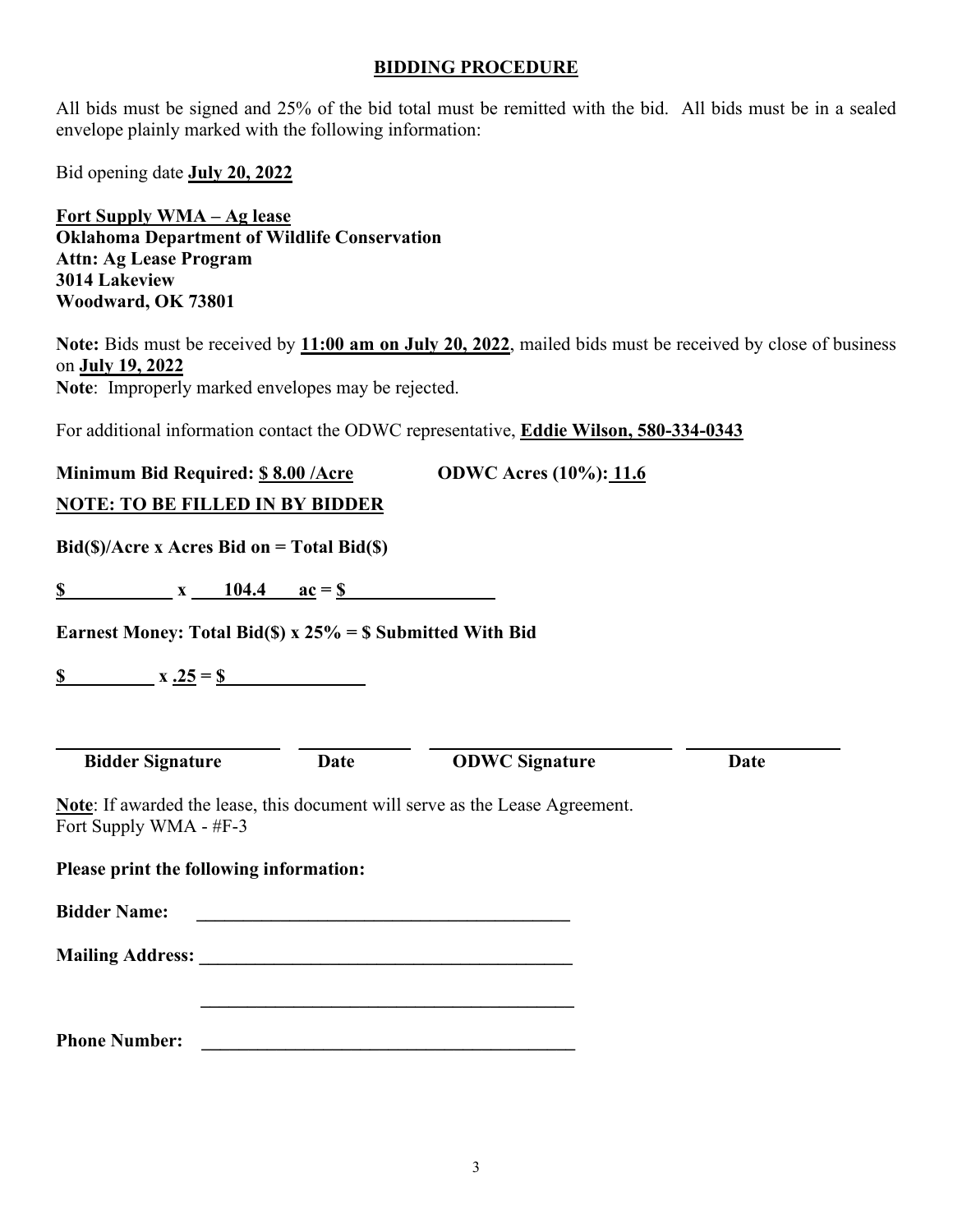#### **BIDDING PROCEDURE**

All bids must be signed and 25% of the bid total must be remitted with the bid. All bids must be in a sealed envelope plainly marked with the following information:

Bid opening date **July 20, 2022** 

**Fort Supply WMA – Ag lease Oklahoma Department of Wildlife Conservation Attn: Ag Lease Program 3014 Lakeview Woodward, OK 73801** 

**Note:** Bids must be received by **11:00 am on July 20, 2022**, mailed bids must be received by close of business on **July 19, 2022 Note**: Improperly marked envelopes may be rejected.

For additional information contact the ODWC representative, **Eddie Wilson, 580-334-0343** 

| Minimum Bid Required: \$8.00 / Acre                                 |             | <b>ODWC Acres (10%): 11.6</b>                                                       |      |
|---------------------------------------------------------------------|-------------|-------------------------------------------------------------------------------------|------|
| <b>NOTE: TO BE FILLED IN BY BIDDER</b>                              |             |                                                                                     |      |
| $Bid(\text{S})/Area \times A$ cres Bid on = Total Bid( $\text{S}$ ) |             |                                                                                     |      |
|                                                                     |             |                                                                                     |      |
| Earnest Money: Total Bid(\$) x $25\%$ = \$ Submitted With Bid       |             |                                                                                     |      |
|                                                                     |             |                                                                                     |      |
|                                                                     |             |                                                                                     |      |
| <b>Bidder Signature</b>                                             | <b>Date</b> | <b>ODWC Signature</b>                                                               | Date |
| Fort Supply WMA - #F-3                                              |             | <b>Note:</b> If awarded the lease, this document will serve as the Lease Agreement. |      |
| Please print the following information:                             |             |                                                                                     |      |
| <b>Bidder Name:</b>                                                 |             |                                                                                     |      |
|                                                                     |             |                                                                                     |      |
|                                                                     |             |                                                                                     |      |
| <b>Phone Number:</b>                                                |             |                                                                                     |      |